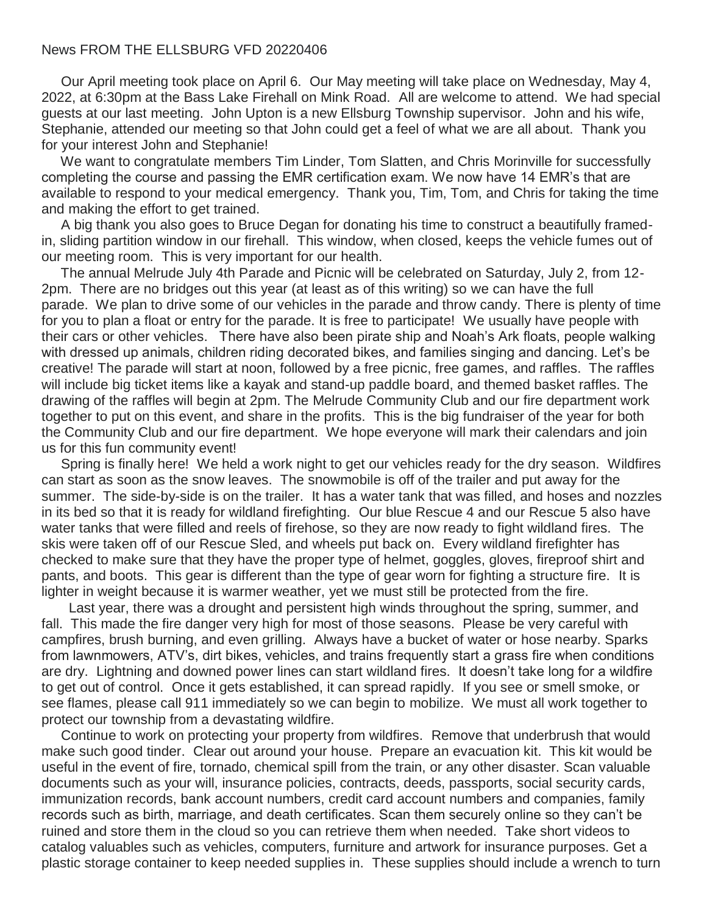## News FROM THE ELLSBURG VFD 20220406

Our April meeting took place on April 6. Our May meeting will take place on Wednesday, May 4, 2022, at 6:30pm at the Bass Lake Firehall on Mink Road. All are welcome to attend. We had special guests at our last meeting. John Upton is a new Ellsburg Township supervisor. John and his wife, Stephanie, attended our meeting so that John could get a feel of what we are all about. Thank you for your interest John and Stephanie!

We want to congratulate members Tim Linder, Tom Slatten, and Chris Morinville for successfully completing the course and passing the EMR certification exam. We now have 14 EMR's that are available to respond to your medical emergency. Thank you, Tim, Tom, and Chris for taking the time and making the effort to get trained.

A big thank you also goes to Bruce Degan for donating his time to construct a beautifully framedin, sliding partition window in our firehall. This window, when closed, keeps the vehicle fumes out of our meeting room. This is very important for our health.

The annual Melrude July 4th Parade and Picnic will be celebrated on Saturday, July 2, from 12- 2pm. There are no bridges out this year (at least as of this writing) so we can have the full parade. We plan to drive some of our vehicles in the parade and throw candy. There is plenty of time for you to plan a float or entry for the parade. It is free to participate! We usually have people with their cars or other vehicles. There have also been pirate ship and Noah's Ark floats, people walking with dressed up animals, children riding decorated bikes, and families singing and dancing. Let's be creative! The parade will start at noon, followed by a free picnic, free games, and raffles. The raffles will include big ticket items like a kayak and stand-up paddle board, and themed basket raffles. The drawing of the raffles will begin at 2pm. The Melrude Community Club and our fire department work together to put on this event, and share in the profits. This is the big fundraiser of the year for both the Community Club and our fire department. We hope everyone will mark their calendars and join us for this fun community event!

Spring is finally here! We held a work night to get our vehicles ready for the dry season. Wildfires can start as soon as the snow leaves. The snowmobile is off of the trailer and put away for the summer. The side-by-side is on the trailer. It has a water tank that was filled, and hoses and nozzles in its bed so that it is ready for wildland firefighting. Our blue Rescue 4 and our Rescue 5 also have water tanks that were filled and reels of firehose, so they are now ready to fight wildland fires. The skis were taken off of our Rescue Sled, and wheels put back on. Every wildland firefighter has checked to make sure that they have the proper type of helmet, goggles, gloves, fireproof shirt and pants, and boots. This gear is different than the type of gear worn for fighting a structure fire. It is lighter in weight because it is warmer weather, yet we must still be protected from the fire.

Last year, there was a drought and persistent high winds throughout the spring, summer, and fall. This made the fire danger very high for most of those seasons. Please be very careful with campfires, brush burning, and even grilling. Always have a bucket of water or hose nearby. Sparks from lawnmowers, ATV's, dirt bikes, vehicles, and trains frequently start a grass fire when conditions are dry. Lightning and downed power lines can start wildland fires. It doesn't take long for a wildfire to get out of control. Once it gets established, it can spread rapidly. If you see or smell smoke, or see flames, please call 911 immediately so we can begin to mobilize. We must all work together to protect our township from a devastating wildfire.

Continue to work on protecting your property from wildfires. Remove that underbrush that would make such good tinder. Clear out around your house. Prepare an evacuation kit. This kit would be useful in the event of fire, tornado, chemical spill from the train, or any other disaster. Scan valuable documents such as your will, insurance policies, contracts, deeds, passports, social security cards, immunization records, bank account numbers, credit card account numbers and companies, family records such as birth, marriage, and death certificates. Scan them securely online so they can't be ruined and store them in the cloud so you can retrieve them when needed. Take short videos to catalog valuables such as vehicles, computers, furniture and artwork for insurance purposes. Get a plastic storage container to keep needed supplies in. These supplies should include a wrench to turn